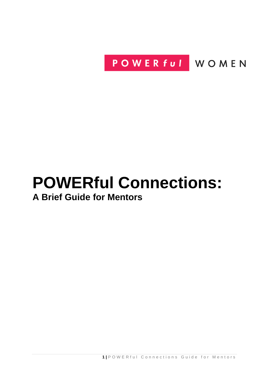POWER ful WOMEN

# **POWERful Connections: A Brief Guide for Mentors**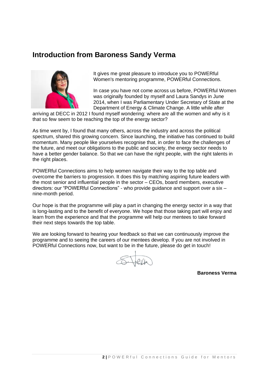# **Introduction from Baroness Sandy Verma**



It gives me great pleasure to introduce you to POWERful Women's mentoring programme, POWERful Connections.

In case you have not come across us before, POWERful Women was originally founded by myself and Laura Sandys in June 2014, when I was Parliamentary Under Secretary of State at the Department of Energy & Climate Change. A little while after

arriving at DECC in 2012 I found myself wondering: where are all the women and why is it that so few seem to be reaching the top of the energy sector?

As time went by, I found that many others, across the industry and across the political spectrum, shared this growing concern. Since launching, the initiative has continued to build momentum. Many people like yourselves recognise that, in order to face the challenges of the future, and meet our obligations to the public and society, the energy sector needs to have a better gender balance. So that we can have the right people, with the right talents in the right places.

POWERful Connections aims to help women navigate their way to the top table and overcome the barriers to progression. It does this by matching aspiring future leaders with the most senior and influential people in the sector – CEOs, board members, executive directors: our "POWERful Connections" - who provide guidance and support over a six – nine-month period.

Our hope is that the programme will play a part in changing the energy sector in a way that is long-lasting and to the benefit of everyone. We hope that those taking part will enjoy and learn from the experience and that the programme will help our mentees to take forward their next steps towards the top table.

We are looking forward to hearing your feedback so that we can continuously improve the programme and to seeing the careers of our mentees develop. If you are not involved in POWERful Connections now, but want to be in the future, please do get in touch!

S. Jeff

**Baroness Verma**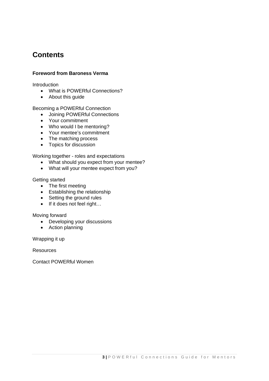# **Contents**

### **Foreword from Baroness Verma**

**Introduction** 

- What is POWERful Connections?
- About this guide

Becoming a POWERful Connection

- Joining POWERful Connections
- Your commitment
- Who would I be mentoring?
- Your mentee's commitment
- The matching process
- Topics for discussion

Working together - roles and expectations

- What should you expect from your mentee?
- What will your mentee expect from you?

#### Getting started

- The first meeting
- Establishing the relationship
- Setting the ground rules
- If it does not feel right...

Moving forward

- Developing your discussions
- Action planning

Wrapping it up

**Resources** 

Contact POWERful Women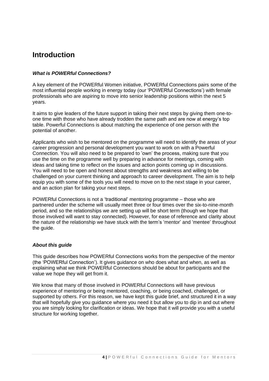# **Introduction**

### *What is POWERful Connections?*

A key element of the POWERful Women initiative, POWERful Connections pairs some of the most influential people working in energy today (our 'POWERful Connections') with female professionals who are aspiring to move into senior leadership positions within the next 5 years.

It aims to give leaders of the future support in taking their next steps by giving them one-toone time with those who have already trodden the same path and are now at energy's top table. Powerful Connections is about matching the experience of one person with the potential of another.

Applicants who wish to be mentored on the programme will need to identify the areas of your career progression and personal development you want to work on with a Powerful Connection. You will also need to be prepared to 'own' the process, making sure that you use the time on the programme well by preparing in advance for meetings, coming with ideas and taking time to reflect on the issues and action points coming up in discussions. You will need to be open and honest about strengths and weakness and willing to be challenged on your current thinking and approach to career development. The aim is to help equip you with some of the tools you will need to move on to the next stage in your career, and an action plan for taking your next steps.

POWERful Connections is not a 'traditional' mentoring programme – those who are partnered under the scheme will usually meet three or four times over the six-to-nine-month period, and so the relationships we are setting up will be short term (though we hope that those involved will want to stay connected). However, for ease of reference and clarity about the nature of the relationship we have stuck with the term's 'mentor' and 'mentee' throughout the guide.

### *About this guide*

This guide describes how POWERful Connections works from the perspective of the mentor (the 'POWERful Connection'). It gives guidance on who does what and when, as well as explaining what we think POWERful Connections should be about for participants and the value we hope they will get from it.

We know that many of those involved in POWERful Connections will have previous experience of mentoring or being mentored, coaching, or being coached, challenged, or supported by others. For this reason, we have kept this guide brief, and structured it in a way that will hopefully give you guidance where you need it but allow you to dip in and out where you are simply looking for clarification or ideas. We hope that it will provide you with a useful structure for working together.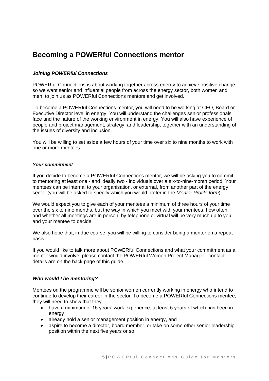# **Becoming a POWERful Connections mentor**

### *Joining POWERful Connections*

POWERful Connections is about working together across energy to achieve positive change, so we want senior and influential people from across the energy sector, both women and men, to join us as POWERful Connections mentors and get involved.

To become a POWERful Connections mentor, you will need to be working at CEO, Board or Executive Director level in energy. You will understand the challenges senior professionals face and the nature of the working environment in energy. You will also have experience of people and project management, strategy, and leadership, together with an understanding of the issues of diversity and inclusion.

You will be willing to set aside a few hours of your time over six to nine months to work with one or more mentees.

#### *Your commitment*

If you decide to become a POWERful Connections mentor, we will be asking you to commit to mentoring at least one - and ideally two - individuals over a six-to-nine-month period. Your mentees can be internal to your organisation, or external, from another part of the energy sector (you will be asked to specify which you would prefer in the *Mentor Profile form*).

We would expect you to give each of your mentees a minimum of three hours of your time over the six to nine months, but the way in which you meet with your mentees, how often, and whether all meetings are in person, by telephone or virtual will be very much up to you and your mentee to decide.

We also hope that, in due course, you will be willing to consider being a mentor on a repeat basis.

If you would like to talk more about POWERful Connections and what your commitment as a mentor would involve, please contact the POWERful Women Project Manager - contact details are on the back page of this guide.

### *Who would I be mentoring?*

Mentees on the programme will be senior women currently working in energy who intend to continue to develop their career in the sector. To become a POWERful Connections mentee, they will need to show that they

- have a minimum of 15 years' work experience, at least 5 years of which has been in energy
- already hold a senior management position in energy, and
- aspire to become a director, board member, or take on some other senior leadership position within the next five years or so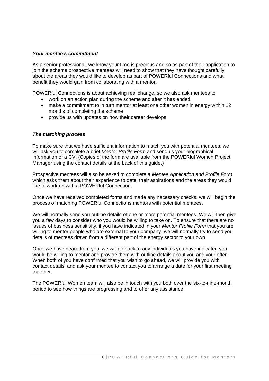#### *Your mentee's commitment*

As a senior professional, we know your time is precious and so as part of their application to join the scheme prospective mentees will need to show that they have thought carefully about the areas they would like to develop as part of POWERful Connections and what benefit they would gain from collaborating with a mentor.

POWERful Connections is about achieving real change, so we also ask mentees to

- work on an action plan during the scheme and after it has ended
- make a commitment to in turn mentor at least one other women in energy within 12 months of completing the scheme
- provide us with updates on how their career develops

#### *The matching process*

To make sure that we have sufficient information to match you with potential mentees, we will ask you to complete a brief *Mentor Profile Form* and send us your biographical information or a CV. (Copies of the form are available from the POWERful Women Project Manager using the contact details at the back of this guide.)

Prospective mentees will also be asked to complete a *Mentee Application and Profile Form* which asks them about their experience to date, their aspirations and the areas they would like to work on with a POWERful Connection.

Once we have received completed forms and made any necessary checks, we will begin the process of matching POWERful Connections mentors with potential mentees.

We will normally send you outline details of one or more potential mentees. We will then give you a few days to consider who you would be willing to take on. To ensure that there are no issues of business sensitivity, if you have indicated in your *Mentor Profile Form* that you are willing to mentor people who are external to your company, we will normally try to send you details of mentees drawn from a different part of the energy sector to your own.

Once we have heard from you, we will go back to any individuals you have indicated you would be willing to mentor and provide them with outline details about you and your offer. When both of you have confirmed that you wish to go ahead, we will provide you with contact details, and ask your mentee to contact you to arrange a date for your first meeting together.

The POWERful Women team will also be in touch with you both over the six-to-nine-month period to see how things are progressing and to offer any assistance.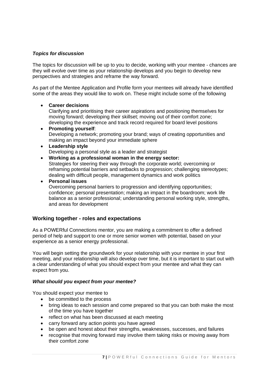### *Topics for discussion*

The topics for discussion will be up to you to decide, working with your mentee - chances are they will evolve over time as your relationship develops and you begin to develop new perspectives and strategies and reframe the way forward.

As part of the Mentee Application and Profile form your mentees will already have identified some of the areas they would like to work on. These might include some of the following

• **Career decisions**

Clarifying and prioritising their career aspirations and positioning themselves for moving forward; developing their skillset; moving out of their comfort zone; developing the experience and track record required for board level positions

- **Promoting yourself**: Developing a network; promoting your brand; ways of creating opportunities and making an impact beyond your immediate sphere
- **Leadership style** Developing a personal style as a leader and strategist
- **Working as a professional woman in the energy sector:** Strategies for steering their way through the corporate world; overcoming or reframing potential barriers and setbacks to progression; challenging stereotypes; dealing with difficult people, management dynamics and work politics
- **Personal issues** Overcoming personal barriers to progression and identifying opportunities; confidence; personal presentation; making an impact in the boardroom; work life balance as a senior professional; understanding personal working style, strengths, and areas for development

# **Working together - roles and expectations**

As a POWERful Connections mentor, you are making a commitment to offer a defined period of help and support to one or more senior women with potential, based on your experience as a senior energy professional.

You will begin setting the groundwork for your relationship with your mentee in your first meeting, and your relationship will also develop over time, but it is important to start out with a clear understanding of what you should expect from your mentee and what they can expect from you.

### *What should you expect from your mentee?*

You should expect your mentee to

- be committed to the process
- bring ideas to each session and come prepared so that you can both make the most of the time you have together
- reflect on what has been discussed at each meeting
- carry forward any action points you have agreed
- be open and honest about their strengths, weaknesses, successes, and failures
- recognise that moving forward may involve them taking risks or moving away from their comfort zone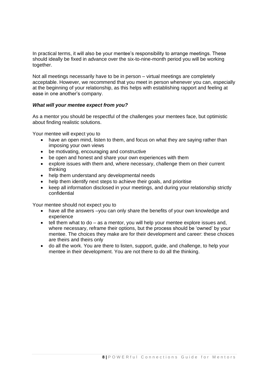In practical terms, it will also be your mentee's responsibility to arrange meetings. These should ideally be fixed in advance over the six-to-nine-month period you will be working together.

Not all meetings necessarily have to be in person – virtual meetings are completely acceptable. However, we recommend that you meet in person whenever you can, especially at the beginning of your relationship, as this helps with establishing rapport and feeling at ease in one another's company.

### *What will your mentee expect from you?*

As a mentor you should be respectful of the challenges your mentees face, but optimistic about finding realistic solutions.

Your mentee will expect you to

- have an open mind, listen to them, and focus on what they are saying rather than imposing your own views
- be motivating, encouraging and constructive
- be open and honest and share your own experiences with them
- explore issues with them and, where necessary, challenge them on their current thinking
- help them understand any developmental needs
- help them identify next steps to achieve their goals, and prioritise
- keep all information disclosed in your meetings, and during your relationship strictly confidential

Your mentee should not expect you to

- have all the answers –you can only share the benefits of your own knowledge and experience
- tell them what to do as a mentor, you will help your mentee explore issues and, where necessary, reframe their options, but the process should be 'owned' by your mentee. The choices they make are for their development and career: these choices are theirs and theirs only
- do all the work. You are there to listen, support, guide, and challenge, to help your mentee in their development. You are not there to do all the thinking.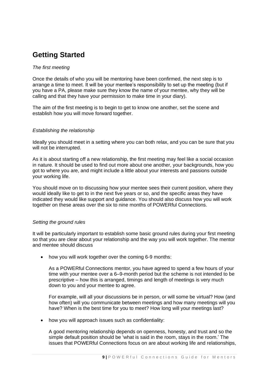# **Getting Started**

### *The first meeting*

Once the details of who you will be mentoring have been confirmed, the next step is to arrange a time to meet. It will be your mentee's responsibility to set up the meeting (but if you have a PA, please make sure they know the name of your mentee, why they will be calling and that they have your permission to make time in your diary).

The aim of the first meeting is to begin to get to know one another, set the scene and establish how you will move forward together.

### *Establishing the relationship*

Ideally you should meet in a setting where you can both relax, and you can be sure that you will not be interrupted.

As it is about starting off a new relationship, the first meeting may feel like a social occasion in nature. It should be used to find out more about one another, your backgrounds, how you got to where you are, and might include a little about your interests and passions outside your working life.

You should move on to discussing how your mentee sees their current position, where they would ideally like to get to in the next five years or so, and the specific areas they have indicated they would like support and guidance. You should also discuss how you will work together on these areas over the six to nine months of POWERful Connections.

### *Setting the ground rules*

It will be particularly important to establish some basic ground rules during your first meeting so that you are clear about your relationship and the way you will work together. The mentor and mentee should discuss

• how you will work together over the coming 6-9 months:

As a POWERful Connections mentor, you have agreed to spend a few hours of your time with your mentee over a 6–9-month period but the scheme is not intended to be prescriptive – how this is arranged, timings and length of meetings is very much down to you and your mentee to agree.

For example, will all your discussions be in person, or will some be virtual? How (and how often) will you communicate between meetings and how many meetings will you have? When is the best time for you to meet? How long will your meetings last?

• how you will approach issues such as confidentiality:

A good mentoring relationship depends on openness, honesty, and trust and so the simple default position should be 'what is said in the room, stays in the room.' The issues that POWERful Connections focus on are about working life and relationships,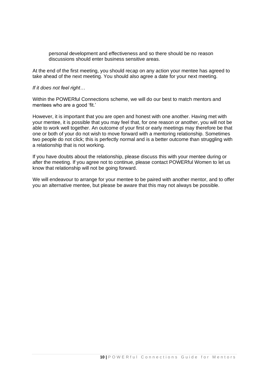personal development and effectiveness and so there should be no reason discussions should enter business sensitive areas.

At the end of the first meeting, you should recap on any action your mentee has agreed to take ahead of the next meeting. You should also agree a date for your next meeting.

#### *If it does not feel right…*

Within the POWERful Connections scheme, we will do our best to match mentors and mentees who are a good 'fit.'

However, it is important that you are open and honest with one another. Having met with your mentee, it is possible that you may feel that, for one reason or another, you will not be able to work well together. An outcome of your first or early meetings may therefore be that one or both of your do not wish to move forward with a mentoring relationship. Sometimes two people do not click; this is perfectly normal and is a better outcome than struggling with a relationship that is not working.

If you have doubts about the relationship, please discuss this with your mentee during or after the meeting. If you agree not to continue, please contact POWERful Women to let us know that relationship will not be going forward.

We will endeavour to arrange for your mentee to be paired with another mentor, and to offer you an alternative mentee, but please be aware that this may not always be possible.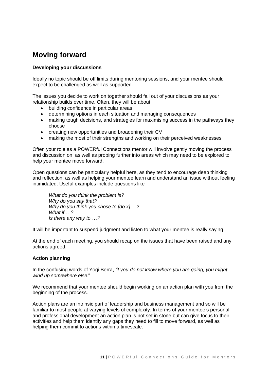# **Moving forward**

### **Developing your discussions**

Ideally no topic should be off limits during mentoring sessions, and your mentee should expect to be challenged as well as supported.

The issues you decide to work on together should fall out of your discussions as your relationship builds over time. Often, they will be about

- building confidence in particular areas
- determining options in each situation and managing consequences
- making tough decisions, and strategies for maximising success in the pathways they choose
- creating new opportunities and broadening their CV
- making the most of their strengths and working on their perceived weaknesses

Often your role as a POWERful Connections mentor will involve gently moving the process and discussion on, as well as probing further into areas which may need to be explored to help your mentee move forward.

Open questions can be particularly helpful here, as they tend to encourage deep thinking and reflection, as well as helping your mentee learn and understand an issue without feeling intimidated. Useful examples include questions like

*What do you think the problem is? Why do you say that? Why do you think you chose to [do x] …? What if …? Is there any way to …?*

It will be important to suspend judgment and listen to what your mentee is really saying.

At the end of each meeting, you should recap on the issues that have been raised and any actions agreed.

# **Action planning**

In the confusing words of Yogi Berra, *'if you do not know where you are going, you might wind up somewhere else!'*

We recommend that your mentee should begin working on an action plan with you from the beginning of the process.

Action plans are an intrinsic part of leadership and business management and so will be familiar to most people at varying levels of complexity. In terms of your mentee's personal and professional development an action plan is not set in stone but can give focus to their activities and help them identify any gaps they need to fill to move forward, as well as helping them commit to actions within a timescale.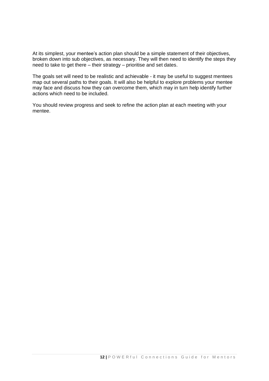At its simplest, your mentee's action plan should be a simple statement of their objectives, broken down into sub objectives, as necessary. They will then need to identify the steps they need to take to get there – their strategy – prioritise and set dates.

The goals set will need to be realistic and achievable - it may be useful to suggest mentees map out several paths to their goals. It will also be helpful to explore problems your mentee may face and discuss how they can overcome them, which may in turn help identify further actions which need to be included.

You should review progress and seek to refine the action plan at each meeting with your mentee.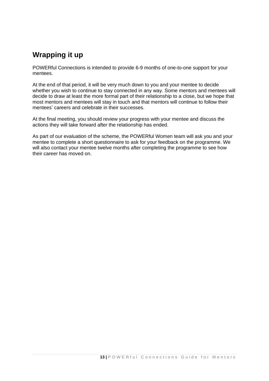# **Wrapping it up**

POWERful Connections is intended to provide 6-9 months of one-to-one support for your mentees.

At the end of that period, it will be very much down to you and your mentee to decide whether you wish to continue to stay connected in any way. Some mentors and mentees will decide to draw at least the more formal part of their relationship to a close, but we hope that most mentors and mentees will stay in touch and that mentors will continue to follow their mentees' careers and celebrate in their successes.

At the final meeting, you should review your progress with your mentee and discuss the actions they will take forward after the relationship has ended.

As part of our evaluation of the scheme, the POWERful Women team will ask you and your mentee to complete a short questionnaire to ask for your feedback on the programme. We will also contact your mentee twelve months after completing the programme to see how their career has moved on.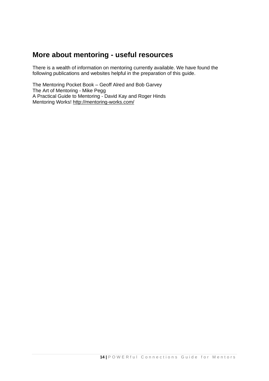# **More about mentoring - useful resources**

There is a wealth of information on mentoring currently available. We have found the following publications and websites helpful in the preparation of this guide.

The Mentoring Pocket Book – Geoff Alred and Bob Garvey The Art of Mentoring - Mike Pegg A Practical Guide to Mentoring - David Kay and Roger Hinds Mentoring Works!<http://mentoring-works.com/>